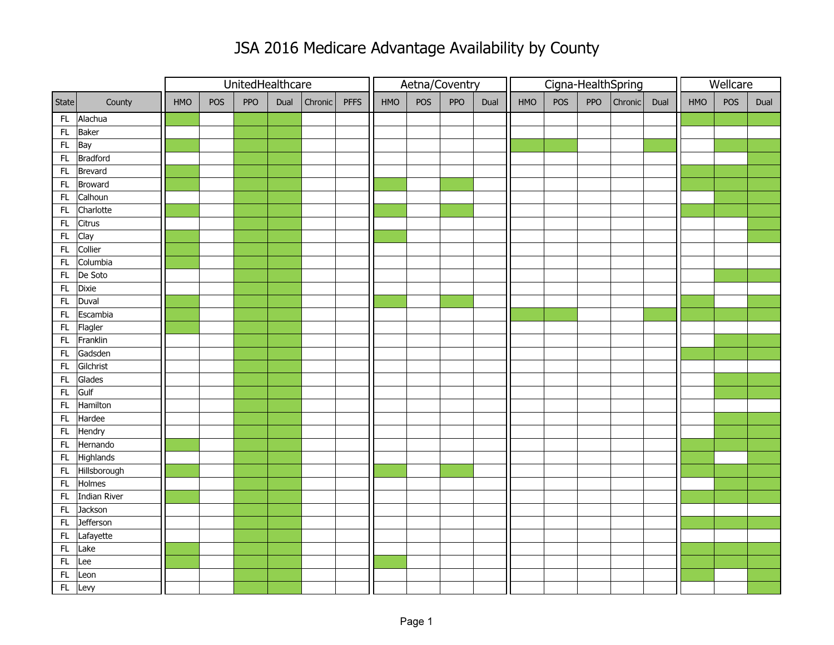## JSA 2016 Medicare Advantage Availability by County

|               |                 |     |     | UnitedHealthcare |      |         |             | Aetna/Coventry |     |     |      |     | Cigna-HealthSpring |     | Wellcare |      |            |     |      |
|---------------|-----------------|-----|-----|------------------|------|---------|-------------|----------------|-----|-----|------|-----|--------------------|-----|----------|------|------------|-----|------|
| State         | County          | HMO | POS | PPO              | Dual | Chronic | <b>PFFS</b> | HMO            | POS | PPO | Dual | HMO | POS                | PPO | Chronic  | Dual | <b>HMO</b> | POS | Dual |
| FL            | Alachua         |     |     |                  |      |         |             |                |     |     |      |     |                    |     |          |      |            |     |      |
| $\mathsf{FL}$ | Baker           |     |     |                  |      |         |             |                |     |     |      |     |                    |     |          |      |            |     |      |
| FL            | Bay             |     |     |                  |      |         |             |                |     |     |      |     |                    |     |          |      |            |     |      |
| FL            | <b>Bradford</b> |     |     |                  |      |         |             |                |     |     |      |     |                    |     |          |      |            |     |      |
| ${\sf FL}$    | Brevard         |     |     |                  |      |         |             |                |     |     |      |     |                    |     |          |      |            |     |      |
| $\mathsf{FL}$ | <b>Broward</b>  |     |     |                  |      |         |             |                |     |     |      |     |                    |     |          |      |            |     |      |
| FL            | Calhoun         |     |     |                  |      |         |             |                |     |     |      |     |                    |     |          |      |            |     |      |
| $\mathsf{FL}$ | Charlotte       |     |     |                  |      |         |             |                |     |     |      |     |                    |     |          |      |            |     |      |
| ${\sf FL}$    | Citrus          |     |     |                  |      |         |             |                |     |     |      |     |                    |     |          |      |            |     |      |
| $\mathsf{FL}$ | Clay            |     |     |                  |      |         |             |                |     |     |      |     |                    |     |          |      |            |     |      |
| ${\sf FL}$    | Collier         |     |     |                  |      |         |             |                |     |     |      |     |                    |     |          |      |            |     |      |
| FL            | Columbia        |     |     |                  |      |         |             |                |     |     |      |     |                    |     |          |      |            |     |      |
| ${\sf FL}$    | De Soto         |     |     |                  |      |         |             |                |     |     |      |     |                    |     |          |      |            |     |      |
| FL            | Dixie           |     |     |                  |      |         |             |                |     |     |      |     |                    |     |          |      |            |     |      |
| $\mathsf{FL}$ | Duval           |     |     |                  |      |         |             |                |     |     |      |     |                    |     |          |      |            |     |      |
| $\mathsf{FL}$ | Escambia        |     |     |                  |      |         |             |                |     |     |      |     |                    |     |          |      |            |     |      |
| $\mathsf{FL}$ | Flagler         |     |     |                  |      |         |             |                |     |     |      |     |                    |     |          |      |            |     |      |
| FL            | Franklin        |     |     |                  |      |         |             |                |     |     |      |     |                    |     |          |      |            |     |      |
| ${\sf FL}$    | Gadsden         |     |     |                  |      |         |             |                |     |     |      |     |                    |     |          |      |            |     |      |
| ${\sf FL}$    | Gilchrist       |     |     |                  |      |         |             |                |     |     |      |     |                    |     |          |      |            |     |      |
| ${\sf FL}$    | Glades          |     |     |                  |      |         |             |                |     |     |      |     |                    |     |          |      |            |     |      |
| FL            | Gulf            |     |     |                  |      |         |             |                |     |     |      |     |                    |     |          |      |            |     |      |
| $\mathsf{FL}$ | Hamilton        |     |     |                  |      |         |             |                |     |     |      |     |                    |     |          |      |            |     |      |
| FL            | Hardee          |     |     |                  |      |         |             |                |     |     |      |     |                    |     |          |      |            |     |      |
| $\mathsf{FL}$ | Hendry          |     |     |                  |      |         |             |                |     |     |      |     |                    |     |          |      |            |     |      |
| ${\sf FL}$    | Hernando        |     |     |                  |      |         |             |                |     |     |      |     |                    |     |          |      |            |     |      |
| FL            | Highlands       |     |     |                  |      |         |             |                |     |     |      |     |                    |     |          |      |            |     |      |
| FL            | Hillsborough    |     |     |                  |      |         |             |                |     |     |      |     |                    |     |          |      |            |     |      |
| ${\sf FL}$    | Holmes          |     |     |                  |      |         |             |                |     |     |      |     |                    |     |          |      |            |     |      |
| FL            | Indian River    |     |     |                  |      |         |             |                |     |     |      |     |                    |     |          |      |            |     |      |
| $\mathsf{FL}$ | Jackson         |     |     |                  |      |         |             |                |     |     |      |     |                    |     |          |      |            |     |      |
| $\mathsf{FL}$ | Jefferson       |     |     |                  |      |         |             |                |     |     |      |     |                    |     |          |      |            |     |      |
| $\mathsf{FL}$ | Lafayette       |     |     |                  |      |         |             |                |     |     |      |     |                    |     |          |      |            |     |      |
| FL.           | Lake            |     |     |                  |      |         |             |                |     |     |      |     |                    |     |          |      |            |     |      |
| $\mathsf{FL}$ | Lee             |     |     |                  |      |         |             |                |     |     |      |     |                    |     |          |      |            |     |      |
| FL            | Leon            |     |     |                  |      |         |             |                |     |     |      |     |                    |     |          |      |            |     |      |
| FL            | Levy            |     |     |                  |      |         |             |                |     |     |      |     |                    |     |          |      |            |     |      |